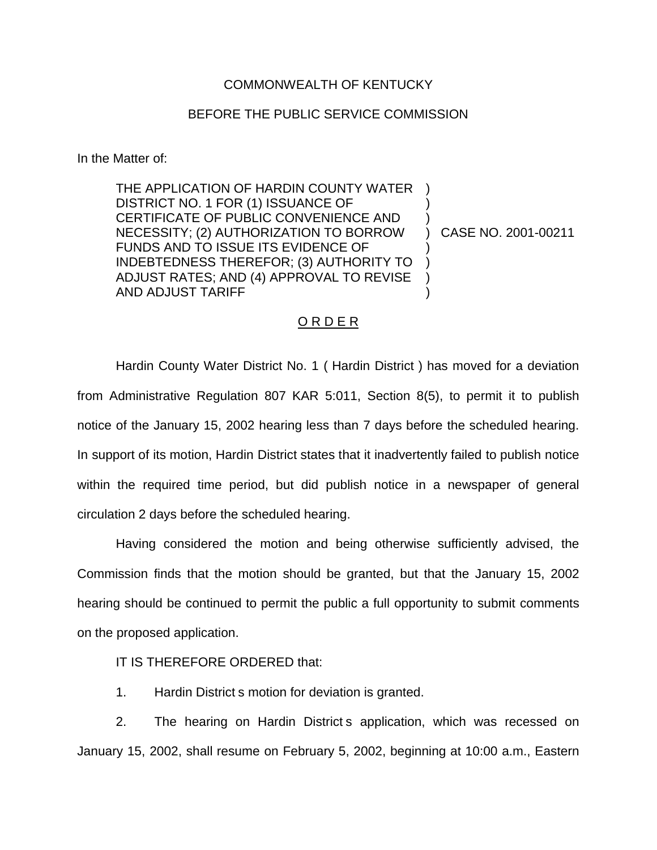## COMMONWEALTH OF KENTUCKY

## BEFORE THE PUBLIC SERVICE COMMISSION

In the Matter of:

THE APPLICATION OF HARDIN COUNTY WATER ) DISTRICT NO. 1 FOR (1) ISSUANCE OF CERTIFICATE OF PUBLIC CONVENIENCE AND NECESSITY; (2) AUTHORIZATION TO BORROW FUNDS AND TO ISSUE ITS EVIDENCE OF INDEBTEDNESS THEREFOR; (3) AUTHORITY TO ADJUST RATES; AND (4) APPROVAL TO REVISE AND ADJUST TARIFF

) CASE NO. 2001-00211

) )

) ) ) )

## O R D E R

Hardin County Water District No. 1 ( Hardin District ) has moved for a deviation from Administrative Regulation 807 KAR 5:011, Section 8(5), to permit it to publish notice of the January 15, 2002 hearing less than 7 days before the scheduled hearing. In support of its motion, Hardin District states that it inadvertently failed to publish notice within the required time period, but did publish notice in a newspaper of general circulation 2 days before the scheduled hearing.

Having considered the motion and being otherwise sufficiently advised, the Commission finds that the motion should be granted, but that the January 15, 2002 hearing should be continued to permit the public a full opportunity to submit comments on the proposed application.

IT IS THEREFORE ORDERED that:

1. Hardin District s motion for deviation is granted.

2. The hearing on Hardin District s application, which was recessed on January 15, 2002, shall resume on February 5, 2002, beginning at 10:00 a.m., Eastern